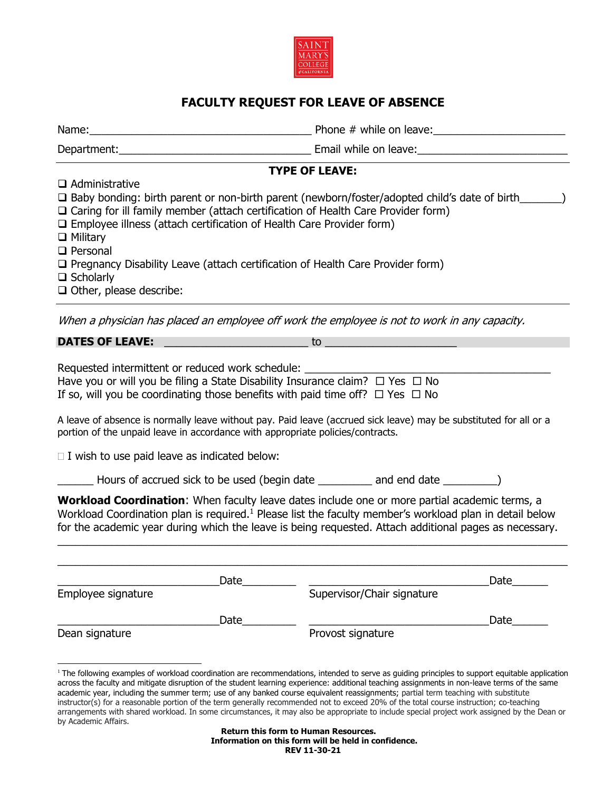

## **FACULTY REQUEST FOR LEAVE OF ABSENCE**

l

Name:\_\_\_\_\_\_\_\_\_\_\_\_\_\_\_\_\_\_\_\_\_\_\_\_\_\_\_\_\_\_\_\_\_\_\_\_\_ Phone # while on leave:\_\_\_\_\_\_\_\_\_\_\_\_\_\_\_\_\_\_\_\_\_\_

Department:\_\_\_\_\_\_\_\_\_\_\_\_\_\_\_\_\_\_\_\_\_\_\_\_\_\_\_\_\_\_\_\_ Email while on leave:\_\_\_\_\_\_\_\_\_\_\_\_\_\_\_\_\_\_\_\_\_\_\_\_\_

**TYPE OF LEAVE:**

| $\Box$ Administrative                                                                                     |
|-----------------------------------------------------------------------------------------------------------|
| $\Box$ Baby bonding: birth parent or non-birth parent (newborn/foster/adopted child's date of birth       |
| $\Box$ Caring for ill family member (attach certification of Health Care Provider form)                   |
| $\Box$ Employee illness (attach certification of Health Care Provider form)                               |
| $\Box$ Military                                                                                           |
| $\Box$ Personal                                                                                           |
| $\Box$ Pregnancy Disability Leave (attach certification of Health Care Provider form)                     |
| $\Box$ Scholarly                                                                                          |
| $\Box$ Other, please describe:                                                                            |
|                                                                                                           |
| <u>Ullege a shugistan bas placed an cumlayso officially the smaleyes is not to well; in any consent y</u> |

When a physician has placed an employee off work the employee is not to work in any capacity.

| <b>DATES OF LEAVE:</b> | $-$ |  |
|------------------------|-----|--|
|                        |     |  |

Requested intermittent or reduced work schedule:  $\blacksquare$ 

|  |  |  | Have you or will you be filing a State Disability Insurance claim? $\Box$ Yes $\Box$ No |  |
|--|--|--|-----------------------------------------------------------------------------------------|--|
|  |  |  | If so, will you be coordinating those benefits with paid time off? $\Box$ Yes $\Box$ No |  |

A leave of absence is normally leave without pay. Paid leave (accrued sick leave) may be substituted for all or a portion of the unpaid leave in accordance with appropriate policies/contracts.

 $\Box$  I wish to use paid leave as indicated below:

Hours of accrued sick to be used (begin date and end date  $\qquad \qquad$ )

**Workload Coordination**: When faculty leave dates include one or more partial academic terms, a Workload Coordination plan is required.<sup>1</sup> Please list the faculty member's workload plan in detail below for the academic year during which the leave is being requested. Attach additional pages as necessary.

 $\_$  , and the set of the set of the set of the set of the set of the set of the set of the set of the set of the set of the set of the set of the set of the set of the set of the set of the set of the set of the set of th

|                    | Date |                            | Date |
|--------------------|------|----------------------------|------|
| Employee signature |      | Supervisor/Chair signature |      |
|                    | Date |                            | Date |
| Dean signature     |      | Provost signature          |      |

<sup>&</sup>lt;sup>1</sup> The following examples of workload coordination are recommendations, intended to serve as guiding principles to support equitable application across the faculty and mitigate disruption of the student learning experience: additional teaching assignments in non-leave terms of the same academic year, including the summer term; use of any banked course equivalent reassignments; partial term teaching with substitute instructor(s) for a reasonable portion of the term generally recommended not to exceed 20% of the total course instruction; co-teaching arrangements with shared workload. In some circumstances, it may also be appropriate to include special project work assigned by the Dean or by Academic Affairs.